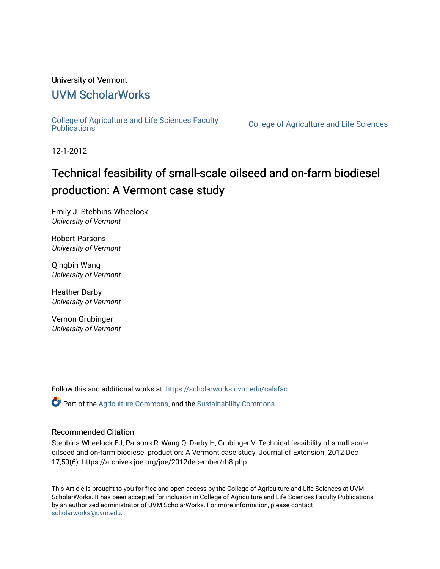## University of Vermont

## [UVM ScholarWorks](https://scholarworks.uvm.edu/)

[College of Agriculture and Life Sciences Faculty](https://scholarworks.uvm.edu/calsfac) 

**College of Agriculture and Life Sciences** 

12-1-2012

# Technical feasibility of small-scale oilseed and on-farm biodiesel production: A Vermont case study

Emily J. Stebbins-Wheelock University of Vermont

Robert Parsons University of Vermont

Qingbin Wang University of Vermont

Heather Darby University of Vermont

Vernon Grubinger University of Vermont

Follow this and additional works at: [https://scholarworks.uvm.edu/calsfac](https://scholarworks.uvm.edu/calsfac?utm_source=scholarworks.uvm.edu%2Fcalsfac%2F155&utm_medium=PDF&utm_campaign=PDFCoverPages)

 $\bullet$  Part of the [Agriculture Commons](http://network.bepress.com/hgg/discipline/1076?utm_source=scholarworks.uvm.edu%2Fcalsfac%2F155&utm_medium=PDF&utm_campaign=PDFCoverPages), and the Sustainability Commons

## Recommended Citation

Stebbins-Wheelock EJ, Parsons R, Wang Q, Darby H, Grubinger V. Technical feasibility of small-scale oilseed and on-farm biodiesel production: A Vermont case study. Journal of Extension. 2012 Dec 17;50(6). https://archives.joe.org/joe/2012december/rb8.php

This Article is brought to you for free and open access by the College of Agriculture and Life Sciences at UVM ScholarWorks. It has been accepted for inclusion in College of Agriculture and Life Sciences Faculty Publications by an authorized administrator of UVM ScholarWorks. For more information, please contact [scholarworks@uvm.edu](mailto:scholarworks@uvm.edu).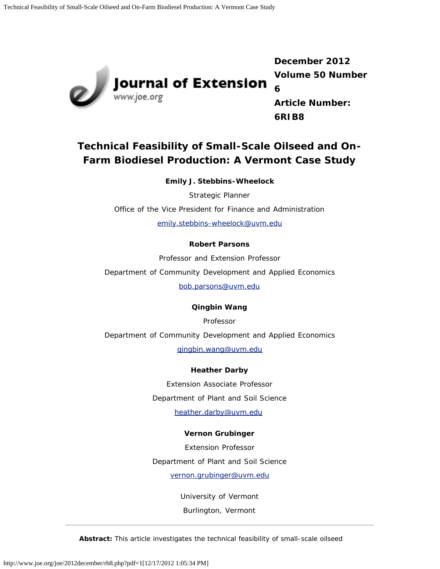

Journal of Extension

**December 2012 Volume 50 Number 6 Article Number: 6RIB8**

## **Technical Feasibility of Small-Scale Oilseed and On-Farm Biodiesel Production: A Vermont Case Study**

**Emily J. Stebbins-Wheelock**

Strategic Planner

Office of the Vice President for Finance and Administration

[emily.stebbins-wheelock@uvm.edu](mailto:emily.stebbins-wheelock@uvm.edu)

## **Robert Parsons**

Professor and Extension Professor

Department of Community Development and Applied Economics

[bob.parsons@uvm.edu](mailto:bob.parsons@uvm.edu)

## **Qingbin Wang**

Professor

Department of Community Development and Applied Economics

[qingbin.wang@uvm.edu](mailto:qingbin.wang@uvm.edu)

## **Heather Darby**

Extension Associate Professor Department of Plant and Soil Science

[heather.darby@uvm.edu](mailto:heather.darby@uvm.edu)

## **Vernon Grubinger**

Extension Professor Department of Plant and Soil Science

[vernon.grubinger@uvm.edu](mailto:vernon.grubinger@uvm.edu)

University of Vermont

Burlington, Vermont

*Abstract: This article investigates the technical feasibility of small-scale oilseed*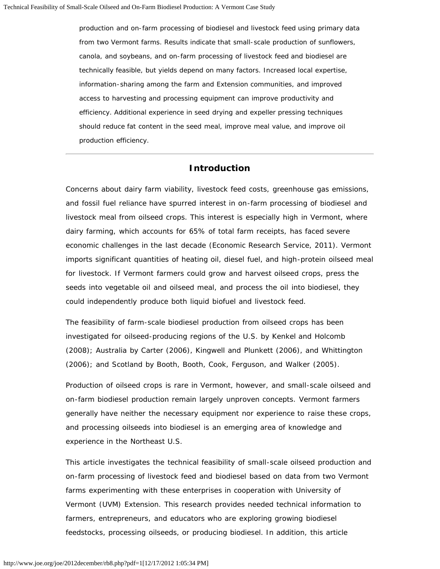*production and on-farm processing of biodiesel and livestock feed using primary data from two Vermont farms. Results indicate that small-scale production of sunflowers, canola, and soybeans, and on-farm processing of livestock feed and biodiesel are technically feasible, but yields depend on many factors. Increased local expertise, information-sharing among the farm and Extension communities, and improved access to harvesting and processing equipment can improve productivity and efficiency. Additional experience in seed drying and expeller pressing techniques should reduce fat content in the seed meal, improve meal value, and improve oil production efficiency.*

### **Introduction**

Concerns about dairy farm viability, livestock feed costs, greenhouse gas emissions, and fossil fuel reliance have spurred interest in on-farm processing of biodiesel and livestock meal from oilseed crops. This interest is especially high in Vermont, where dairy farming, which accounts for 65% of total farm receipts, has faced severe economic challenges in the last decade (Economic Research Service, 2011). Vermont imports significant quantities of heating oil, diesel fuel, and high-protein oilseed meal for livestock. If Vermont farmers could grow and harvest oilseed crops, press the seeds into vegetable oil and oilseed meal, and process the oil into biodiesel, they could independently produce both liquid biofuel and livestock feed.

The feasibility of farm-scale biodiesel production from oilseed crops has been investigated for oilseed-producing regions of the U.S. by Kenkel and Holcomb (2008); Australia by Carter (2006), Kingwell and Plunkett (2006), and Whittington (2006); and Scotland by Booth, Booth, Cook, Ferguson, and Walker (2005).

Production of oilseed crops is rare in Vermont, however, and small-scale oilseed and on-farm biodiesel production remain largely unproven concepts. Vermont farmers generally have neither the necessary equipment nor experience to raise these crops, and processing oilseeds into biodiesel is an emerging area of knowledge and experience in the Northeast U.S.

This article investigates the technical feasibility of small-scale oilseed production and on-farm processing of livestock feed and biodiesel based on data from two Vermont farms experimenting with these enterprises in cooperation with University of Vermont (UVM) Extension. This research provides needed technical information to farmers, entrepreneurs, and educators who are exploring growing biodiesel feedstocks, processing oilseeds, or producing biodiesel. In addition, this article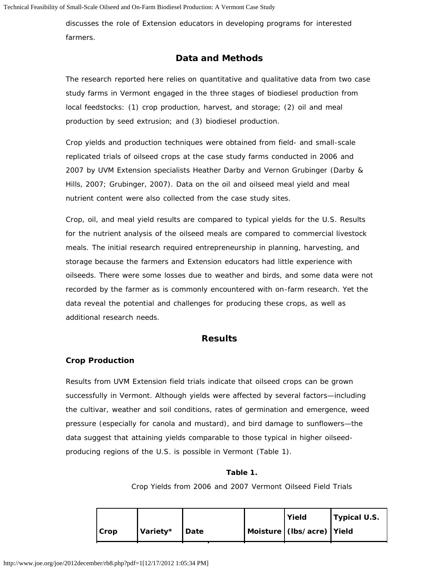discusses the role of Extension educators in developing programs for interested farmers.

## **Data and Methods**

The research reported here relies on quantitative and qualitative data from two case study farms in Vermont engaged in the three stages of biodiesel production from local feedstocks: (1) crop production, harvest, and storage; (2) oil and meal production by seed extrusion; and (3) biodiesel production.

Crop yields and production techniques were obtained from field- and small-scale replicated trials of oilseed crops at the case study farms conducted in 2006 and 2007 by UVM Extension specialists Heather Darby and Vernon Grubinger (Darby & Hills, 2007; Grubinger, 2007). Data on the oil and oilseed meal yield and meal nutrient content were also collected from the case study sites.

Crop, oil, and meal yield results are compared to typical yields for the U.S. Results for the nutrient analysis of the oilseed meals are compared to commercial livestock meals. The initial research required entrepreneurship in planning, harvesting, and storage because the farmers and Extension educators had little experience with oilseeds. There were some losses due to weather and birds, and some data were not recorded by the farmer as is commonly encountered with on-farm research. Yet the data reveal the potential and challenges for producing these crops, as well as additional research needs.

## **Results**

#### **Crop Production**

Results from UVM Extension field trials indicate that oilseed crops can be grown successfully in Vermont. Although yields were affected by several factors—including the cultivar, weather and soil conditions, rates of germination and emergence, weed pressure (especially for canola and mustard), and bird damage to sunflowers—the data suggest that attaining yields comparable to those typical in higher oilseedproducing regions of the U.S. is possible in Vermont (Table 1).

#### **Table 1.**

Crop Yields from 2006 and 2007 Vermont Oilseed Field Trials

|      |          |               | Yield                         | Typical U.S. |
|------|----------|---------------|-------------------------------|--------------|
| Crop | Variety* | <b>I</b> Date | Moisture   (Ibs/acre)   Yield |              |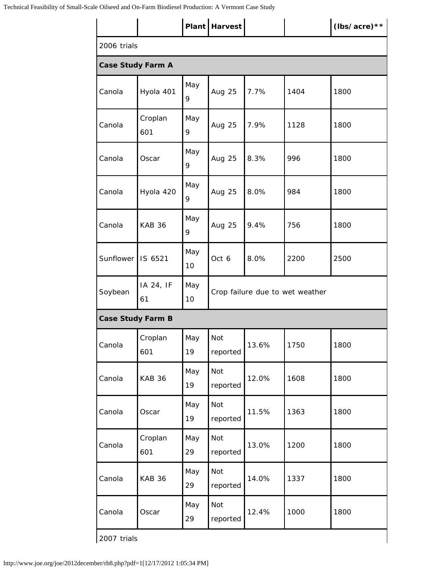|                          |                 |           | Plant   Harvest                 |                      |      | (lbs/acre)** |  |  |  |
|--------------------------|-----------------|-----------|---------------------------------|----------------------|------|--------------|--|--|--|
| 2006 trials              |                 |           |                                 |                      |      |              |  |  |  |
| <b>Case Study Farm A</b> |                 |           |                                 |                      |      |              |  |  |  |
| Canola                   | Hyola 401       | May<br>9  | Aug 25                          | 7.7%<br>1404<br>1800 |      |              |  |  |  |
| Canola                   | Croplan<br>601  | May<br>9  | Aug 25                          | 7.9%                 | 1128 | 1800         |  |  |  |
| Canola                   | Oscar           | May<br>9  | <b>Aug 25</b>                   | 8.3%                 | 996  | 1800         |  |  |  |
| Canola                   | Hyola 420       | May<br>9  | Aug 25                          | 8.0%                 | 984  | 1800         |  |  |  |
| Canola                   | <b>KAB 36</b>   | May<br>9  | Aug 25                          | 9.4%                 | 756  | 1800         |  |  |  |
| Sunflower                | IS 6521         | May<br>10 | Oct 6                           | 8.0%                 | 2200 | 2500         |  |  |  |
| Soybean                  | IA 24, IF<br>61 | May<br>10 | Crop failure due to wet weather |                      |      |              |  |  |  |
| <b>Case Study Farm B</b> |                 |           |                                 |                      |      |              |  |  |  |
| Canola                   | Croplan<br>601  | May<br>19 | Not<br>reported                 | 13.6%                | 1750 | 1800         |  |  |  |
| Canola                   | <b>KAB 36</b>   | May<br>19 | Not<br>reported                 | 12.0%                | 1608 | 1800         |  |  |  |
| Canola                   | Oscar           | May<br>19 | Not<br>reported                 | 11.5%                | 1363 | 1800         |  |  |  |
| Canola                   | Croplan<br>601  | May<br>29 | Not<br>reported                 | 13.0%                | 1200 | 1800         |  |  |  |
| Canola                   | <b>KAB 36</b>   | May<br>29 | Not<br>reported                 | 14.0%                | 1337 | 1800         |  |  |  |
| Canola                   | Oscar           | May<br>29 | Not<br>reported                 | 12.4%                | 1000 | 1800         |  |  |  |
| 2007 trials              |                 |           |                                 |                      |      |              |  |  |  |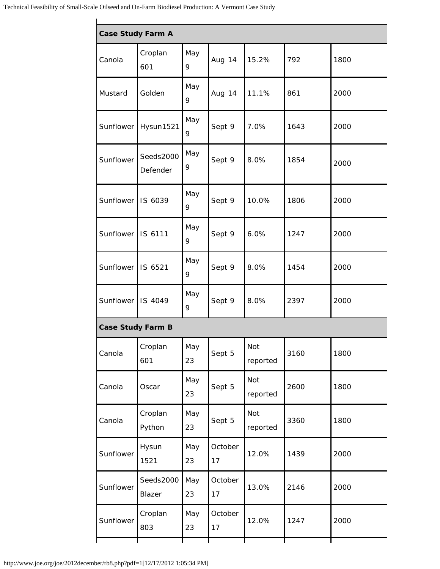| <b>Case Study Farm A</b> |                       |           |               |                        |      |      |  |  |  |  |
|--------------------------|-----------------------|-----------|---------------|------------------------|------|------|--|--|--|--|
| Canola                   | Croplan<br>601        | May<br>9  | Aug 14        | 15.2%                  | 792  | 1800 |  |  |  |  |
| Mustard                  | Golden                | May<br>9  | Aug 14        | 11.1%                  | 861  | 2000 |  |  |  |  |
| Sunflower                | Hysun1521             | May<br>9  | Sept 9        | 7.0%                   | 1643 | 2000 |  |  |  |  |
| Sunflower                | Seeds2000<br>Defender | May<br>9  | Sept 9        | 8.0%                   | 1854 | 2000 |  |  |  |  |
| Sunflower IS 6039        |                       | May<br>9  | Sept 9        | 10.0%                  | 1806 | 2000 |  |  |  |  |
| Sunflower IS 6111        |                       | May<br>9  | Sept 9        | 6.0%                   | 1247 | 2000 |  |  |  |  |
| Sunflower   IS 6521      |                       | May<br>9  | Sept 9        | 8.0%                   | 1454 | 2000 |  |  |  |  |
| Sunflower IS 4049        |                       | May<br>9  | Sept 9        | 8.0%                   | 2397 | 2000 |  |  |  |  |
| <b>Case Study Farm B</b> |                       |           |               |                        |      |      |  |  |  |  |
| Canola                   | Croplan<br>601        | May<br>23 | Sept 5        | <b>Not</b><br>reported | 3160 | 1800 |  |  |  |  |
| Canola                   | Oscar                 | May<br>23 | Sept 5        | Not<br>reported        | 2600 | 1800 |  |  |  |  |
| Canola                   | Croplan<br>Python     | May<br>23 | Sept 5        | Not<br>reported        | 3360 | 1800 |  |  |  |  |
| Sunflower                | Hysun<br>1521         | May<br>23 | October<br>17 | 12.0%                  | 1439 | 2000 |  |  |  |  |
| Sunflower                | Seeds2000<br>Blazer   | May<br>23 | October<br>17 | 13.0%                  | 2146 | 2000 |  |  |  |  |
| Sunflower                | Croplan<br>803        | May<br>23 | October<br>17 | 12.0%                  | 1247 | 2000 |  |  |  |  |
|                          |                       |           |               |                        |      |      |  |  |  |  |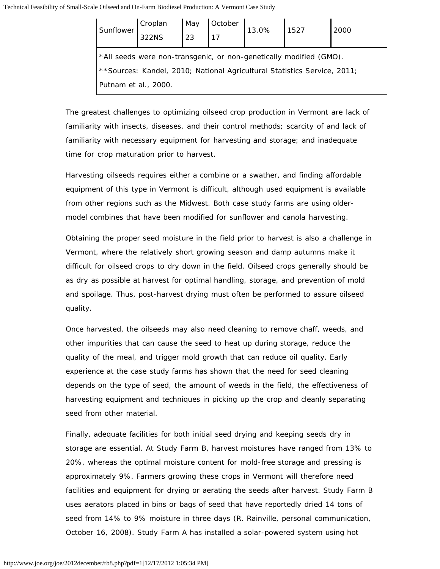| Sunflower                                                                 | Croplan<br>322NS |  | May October 13.0% | 13.0% 1527 |  | 2000 |  |  |
|---------------------------------------------------------------------------|------------------|--|-------------------|------------|--|------|--|--|
| *All seeds were non-transgenic, or non-genetically modified (GMO).        |                  |  |                   |            |  |      |  |  |
| ** Sources: Kandel, 2010; National Agricultural Statistics Service, 2011; |                  |  |                   |            |  |      |  |  |
| Putnam et al., 2000.                                                      |                  |  |                   |            |  |      |  |  |

The greatest challenges to optimizing oilseed crop production in Vermont are lack of familiarity with insects, diseases, and their control methods; scarcity of and lack of familiarity with necessary equipment for harvesting and storage; and inadequate time for crop maturation prior to harvest.

Harvesting oilseeds requires either a combine or a swather, and finding affordable equipment of this type in Vermont is difficult, although used equipment is available from other regions such as the Midwest. Both case study farms are using oldermodel combines that have been modified for sunflower and canola harvesting.

Obtaining the proper seed moisture in the field prior to harvest is also a challenge in Vermont, where the relatively short growing season and damp autumns make it difficult for oilseed crops to dry down in the field. Oilseed crops generally should be as dry as possible at harvest for optimal handling, storage, and prevention of mold and spoilage. Thus, post-harvest drying must often be performed to assure oilseed quality.

Once harvested, the oilseeds may also need cleaning to remove chaff, weeds, and other impurities that can cause the seed to heat up during storage, reduce the quality of the meal, and trigger mold growth that can reduce oil quality. Early experience at the case study farms has shown that the need for seed cleaning depends on the type of seed, the amount of weeds in the field, the effectiveness of harvesting equipment and techniques in picking up the crop and cleanly separating seed from other material.

Finally, adequate facilities for both initial seed drying and keeping seeds dry in storage are essential. At Study Farm B, harvest moistures have ranged from 13% to 20%, whereas the optimal moisture content for mold-free storage and pressing is approximately 9%. Farmers growing these crops in Vermont will therefore need facilities and equipment for drying or aerating the seeds after harvest. Study Farm B uses aerators placed in bins or bags of seed that have reportedly dried 14 tons of seed from 14% to 9% moisture in three days (R. Rainville, personal communication, October 16, 2008). Study Farm A has installed a solar-powered system using hot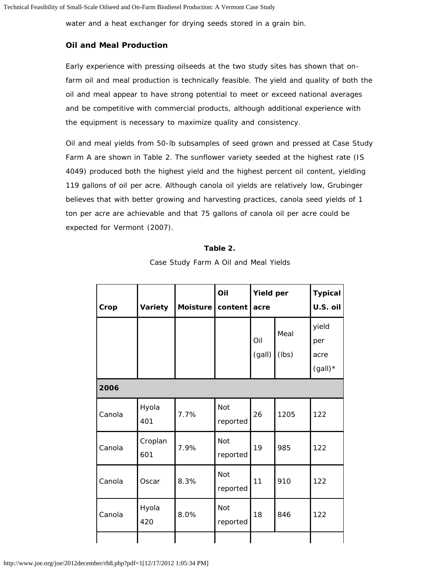water and a heat exchanger for drying seeds stored in a grain bin.

### **Oil and Meal Production**

Early experience with pressing oilseeds at the two study sites has shown that onfarm oil and meal production is technically feasible. The yield and quality of both the oil and meal appear to have strong potential to meet or exceed national averages and be competitive with commercial products, although additional experience with the equipment is necessary to maximize quality and consistency.

Oil and meal yields from 50-lb subsamples of seed grown and pressed at Case Study Farm A are shown in Table 2. The sunflower variety seeded at the highest rate (IS 4049) produced both the highest yield and the highest percent oil content, yielding 119 gallons of oil per acre. Although canola oil yields are relatively low, Grubinger believes that with better growing and harvesting practices, canola seed yields of 1 ton per acre are achievable and that 75 gallons of canola oil per acre could be expected for Vermont (2007).

| ۱<br>в<br>21 O<br>۰. |  |
|----------------------|--|
|----------------------|--|

| Case Study Farm A Oil and Meal Yields |  |  |  |  |  |
|---------------------------------------|--|--|--|--|--|
|---------------------------------------|--|--|--|--|--|

| Crop   | Variety        | Moisture   content | Oil                    | <b>Yield per</b><br>acre |               | <b>Typical</b><br>U.S. oil        |
|--------|----------------|--------------------|------------------------|--------------------------|---------------|-----------------------------------|
|        |                |                    |                        | Oil<br>(gall)            | Meal<br>(lbs) | yield<br>per<br>acre<br>$(gall)*$ |
| 2006   |                |                    |                        |                          |               |                                   |
| Canola | Hyola<br>401   | 7.7%               | Not<br>reported        | 26                       | 1205          | 122                               |
| Canola | Croplan<br>601 | 7.9%               | <b>Not</b><br>reported | 19                       | 985           | 122                               |
| Canola | Oscar          | 8.3%               | Not<br>reported        | 11                       | 910           | 122                               |
| Canola | Hyola<br>420   | 8.0%               | Not<br>reported        | 18                       | 846           | 122                               |
|        |                |                    |                        |                          |               |                                   |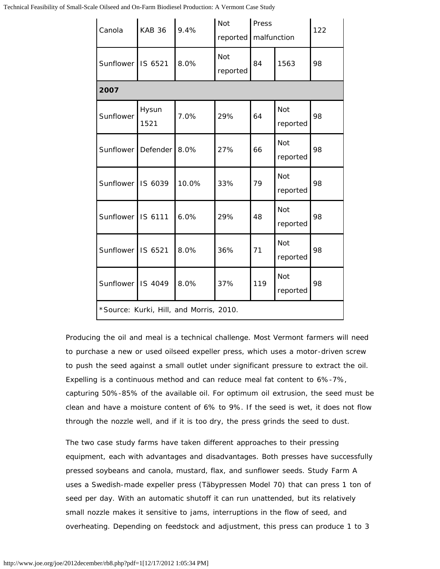Technical Feasibility of Small-Scale Oilseed and On-Farm Biodiesel Production: A Vermont Case Study

| Canola               | <b>KAB 36</b> | 9.4%                                    | Not<br>reported | Press<br>malfunction |                        | 122 |  |  |  |  |
|----------------------|---------------|-----------------------------------------|-----------------|----------------------|------------------------|-----|--|--|--|--|
| Sunflower            | IS 6521       | 8.0%                                    | Not<br>reported | 84<br>1563           |                        | 98  |  |  |  |  |
| 2007                 |               |                                         |                 |                      |                        |     |  |  |  |  |
| Sunflower            | Hysun<br>1521 | 7.0%                                    | 29%             | 64                   | Not<br>reported        | 98  |  |  |  |  |
| Sunflower   Defender |               | 8.0%                                    | 27%             | 66                   | <b>Not</b><br>reported | 98  |  |  |  |  |
| Sunflower IS 6039    |               | 10.0%                                   | 33%             | 79                   | Not<br>reported        | 98  |  |  |  |  |
| Sunflower   IS 6111  |               | 6.0%                                    | 29%             | 48                   | <b>Not</b><br>reported | 98  |  |  |  |  |
| Sunflower   IS 6521  |               | 8.0%                                    | 36%             | 71                   | <b>Not</b><br>reported | 98  |  |  |  |  |
| Sunflower IS 4049    |               | 8.0%                                    | 37%             | 119                  | <b>Not</b><br>reported | 98  |  |  |  |  |
|                      |               | *Source: Kurki, Hill, and Morris, 2010. |                 |                      |                        |     |  |  |  |  |

Producing the oil and meal is a technical challenge. Most Vermont farmers will need to purchase a new or used oilseed expeller press, which uses a motor-driven screw to push the seed against a small outlet under significant pressure to extract the oil. Expelling is a continuous method and can reduce meal fat content to 6%-7%, capturing 50%-85% of the available oil. For optimum oil extrusion, the seed must be clean and have a moisture content of 6% to 9%. If the seed is wet, it does not flow through the nozzle well, and if it is too dry, the press grinds the seed to dust.

The two case study farms have taken different approaches to their pressing equipment, each with advantages and disadvantages. Both presses have successfully pressed soybeans and canola, mustard, flax, and sunflower seeds. Study Farm A uses a Swedish-made expeller press (Täbypressen Model 70) that can press 1 ton of seed per day. With an automatic shutoff it can run unattended, but its relatively small nozzle makes it sensitive to jams, interruptions in the flow of seed, and overheating. Depending on feedstock and adjustment, this press can produce 1 to 3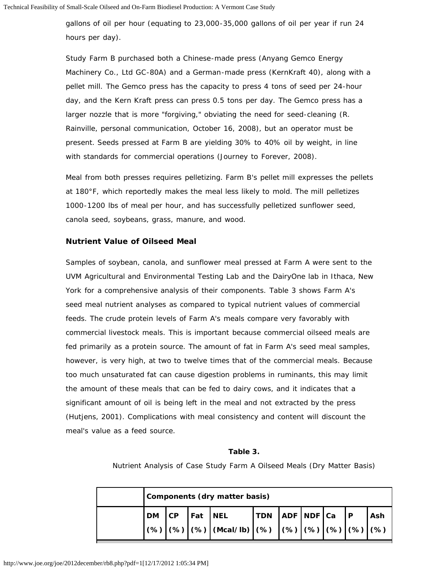gallons of oil per hour (equating to 23,000-35,000 gallons of oil per year if run 24 hours per day).

Study Farm B purchased both a Chinese-made press (*Anyang* Gemco Energy Machinery Co., Ltd GC-80A) and a German-made press (KernKraft 40), along with a pellet mill. The Gemco press has the capacity to press 4 tons of seed per 24-hour day, and the Kern Kraft press can press 0.5 tons per day. The Gemco press has a larger nozzle that is more "forgiving," obviating the need for seed-cleaning (R. Rainville, personal communication, October 16, 2008), but an operator must be present. Seeds pressed at Farm B are yielding 30% to 40% oil by weight, in line with standards for commercial operations (Journey to Forever, 2008).

Meal from both presses requires pelletizing. Farm B's pellet mill expresses the pellets at 180°F, which reportedly makes the meal less likely to mold. The mill pelletizes 1000-1200 lbs of meal per hour, and has successfully pelletized sunflower seed, canola seed, soybeans, grass, manure, and wood.

#### **Nutrient Value of Oilseed Meal**

Samples of soybean, canola, and sunflower meal pressed at Farm A were sent to the UVM Agricultural and Environmental Testing Lab and the DairyOne lab in Ithaca, New York for a comprehensive analysis of their components. Table 3 shows Farm A's seed meal nutrient analyses as compared to typical nutrient values of commercial feeds. The crude protein levels of Farm A's meals compare very favorably with commercial livestock meals. This is important because commercial oilseed meals are fed primarily as a protein source. The amount of fat in Farm A's seed meal samples, however, is very high, at two to twelve times that of the commercial meals. Because too much unsaturated fat can cause digestion problems in ruminants, this may limit the amount of these meals that can be fed to dairy cows, and it indicates that a significant amount of oil is being left in the meal and not extracted by the press (Hutjens, 2001). Complications with meal consistency and content will discount the meal's value as a feed source.

#### **Table 3.**

Nutrient Analysis of Case Study Farm A Oilseed Meals (Dry Matter Basis)

|  | Components (dry matter basis) |  |                                                                                                                                                                                                                                                                                                                                                                                                                                                          |  |  |  |  |  |  |  |
|--|-------------------------------|--|----------------------------------------------------------------------------------------------------------------------------------------------------------------------------------------------------------------------------------------------------------------------------------------------------------------------------------------------------------------------------------------------------------------------------------------------------------|--|--|--|--|--|--|--|
|  |                               |  | $ DM CP $ Fat NEL $ TDN $ ADF NDF $ Ca P $ Ash                                                                                                                                                                                                                                                                                                                                                                                                           |  |  |  |  |  |  |  |
|  |                               |  | $\Big  ( \%) \Big  ( \%) \Big  ( \%) \Big  ( \% ) \Big  ( \%) \Big  ( \%) \Big  ( \%) \Big  ( \%) \Big  ( \%) \Big  ( \%) \Big  ( \%) \Big  ( \%) \Big  ( \%) \Big  ( \%) \Big  ( \%) \Big  ( \%) \Big  ( \%) \Big  ( \%) \Big  ( \%) \Big  ( \%) \Big  ( \%) \Big  ( \%) \Big  ( \%) \Big  ( \%) \Big  ( \%) \Big  ( \%) \Big  ( \%) \Big  ( \%) \Big  ( \%) \Big  ( \%) \Big  ( \%) \Big  ( \%) \Big  ( \%) \Big  ( \%) \Big  ( \%) \Big  ( \%) \Big $ |  |  |  |  |  |  |  |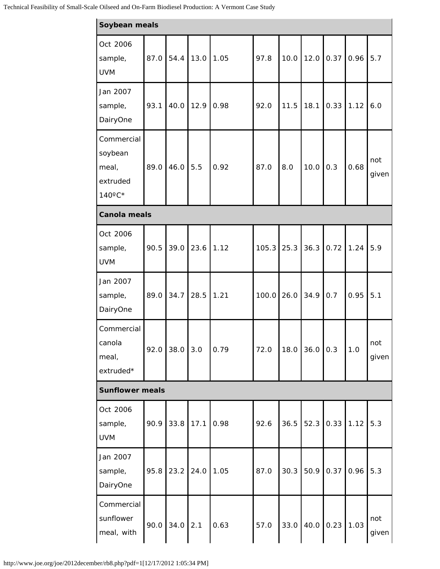| Soybean meals                                        |      |      |           |      |       |      |      |      |      |              |
|------------------------------------------------------|------|------|-----------|------|-------|------|------|------|------|--------------|
| Oct 2006<br>sample,<br><b>UVM</b>                    | 87.0 | 54.4 | 13.0 1.05 |      | 97.8  | 10.0 | 12.0 | 0.37 | 0.96 | 5.7          |
| Jan 2007<br>sample,<br>DairyOne                      | 93.1 | 40.0 | 12.9      | 0.98 | 92.0  | 11.5 | 18.1 | 0.33 | 1.12 | 6.0          |
| Commercial<br>soybean<br>meal,<br>extruded<br>140°C* | 89.0 | 46.0 | 5.5       | 0.92 | 87.0  | 8.0  | 10.0 | 0.3  | 0.68 | not<br>given |
| <b>Canola meals</b>                                  |      |      |           |      |       |      |      |      |      |              |
| Oct 2006<br>sample,<br><b>UVM</b>                    | 90.5 | 39.0 | 23.6 1.12 |      | 105.3 | 25.3 | 36.3 | 0.72 | 1.24 | 5.9          |
| Jan 2007<br>sample,<br>DairyOne                      | 89.0 | 34.7 | 28.5      | 1.21 | 100.0 | 26.0 | 34.9 | 0.7  | 0.95 | 5.1          |
| Commercial<br>canola<br>meal,<br>extruded*           | 92.0 | 38.0 | 3.0       | 0.79 | 72.0  | 18.0 | 36.0 | 0.3  | 1.0  | not<br>given |
| <b>Sunflower meals</b>                               |      |      |           |      |       |      |      |      |      |              |
| Oct 2006<br>sample,<br><b>UVM</b>                    | 90.9 | 33.8 | 17.1      | 0.98 | 92.6  | 36.5 | 52.3 | 0.33 | 1.12 | 5.3          |
| Jan 2007<br>sample,<br>DairyOne                      | 95.8 | 23.2 | 24.0      | 1.05 | 87.0  | 30.3 | 50.9 | 0.37 | 0.96 | 5.3          |
| Commercial<br>sunflower<br>meal, with                | 90.0 | 34.0 | 2.1       | 0.63 | 57.0  | 33.0 | 40.0 | 0.23 | 1.03 | not<br>given |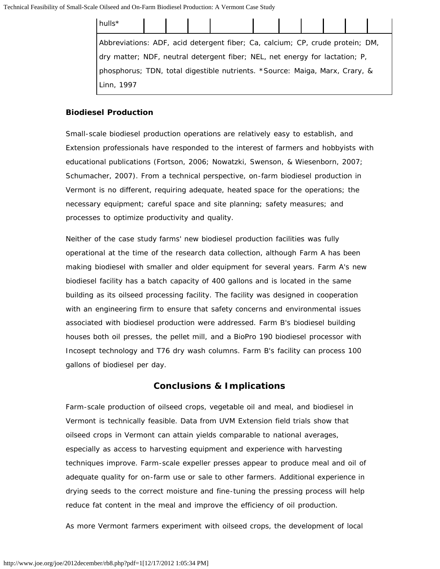| hulls <sup>*</sup>                                                            |  |  |  |  |  |  |  |  |  |
|-------------------------------------------------------------------------------|--|--|--|--|--|--|--|--|--|
| Abbreviations: ADF, acid detergent fiber; Ca, calcium; CP, crude protein; DM, |  |  |  |  |  |  |  |  |  |
| dry matter; NDF, neutral detergent fiber; NEL, net energy for lactation; P,   |  |  |  |  |  |  |  |  |  |
| phosphorus; TDN, total digestible nutrients. *Source: Maiga, Marx, Crary, &   |  |  |  |  |  |  |  |  |  |
| Linn, 1997                                                                    |  |  |  |  |  |  |  |  |  |

### **Biodiesel Production**

Small-scale biodiesel production operations are relatively easy to establish, and Extension professionals have responded to the interest of farmers and hobbyists with educational publications (Fortson, 2006; Nowatzki, Swenson, & Wiesenborn, 2007; Schumacher, 2007). From a technical perspective, on-farm biodiesel production in Vermont is no different, requiring adequate, heated space for the operations; the necessary equipment; careful space and site planning; safety measures; and processes to optimize productivity and quality.

Neither of the case study farms' new biodiesel production facilities was fully operational at the time of the research data collection, although Farm A has been making biodiesel with smaller and older equipment for several years. Farm A's new biodiesel facility has a batch capacity of 400 gallons and is located in the same building as its oilseed processing facility. The facility was designed in cooperation with an engineering firm to ensure that safety concerns and environmental issues associated with biodiesel production were addressed. Farm B's biodiesel building houses both oil presses, the pellet mill, and a BioPro 190 biodiesel processor with Incosept technology and T76 dry wash columns. Farm B's facility can process 100 gallons of biodiesel per day.

## **Conclusions & Implications**

Farm-scale production of oilseed crops, vegetable oil and meal, and biodiesel in Vermont is technically feasible. Data from UVM Extension field trials show that oilseed crops in Vermont can attain yields comparable to national averages, especially as access to harvesting equipment and experience with harvesting techniques improve. Farm-scale expeller presses appear to produce meal and oil of adequate quality for on-farm use or sale to other farmers. Additional experience in drying seeds to the correct moisture and fine-tuning the pressing process will help reduce fat content in the meal and improve the efficiency of oil production.

As more Vermont farmers experiment with oilseed crops, the development of local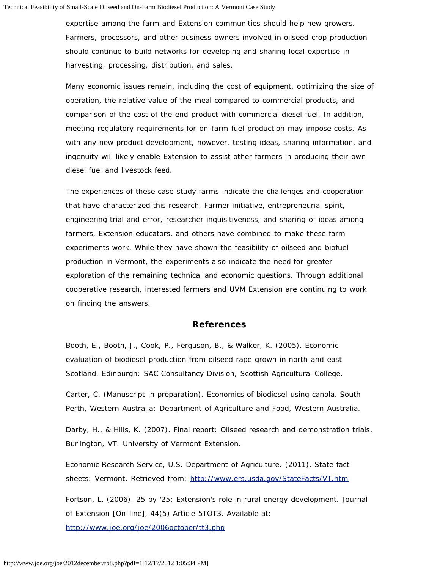expertise among the farm and Extension communities should help new growers. Farmers, processors, and other business owners involved in oilseed crop production should continue to build networks for developing and sharing local expertise in harvesting, processing, distribution, and sales.

Many economic issues remain, including the cost of equipment, optimizing the size of operation, the relative value of the meal compared to commercial products, and comparison of the cost of the end product with commercial diesel fuel. In addition, meeting regulatory requirements for on-farm fuel production may impose costs. As with any new product development, however, testing ideas, sharing information, and ingenuity will likely enable Extension to assist other farmers in producing their own diesel fuel and livestock feed.

The experiences of these case study farms indicate the challenges and cooperation that have characterized this research. Farmer initiative, entrepreneurial spirit, engineering trial and error, researcher inquisitiveness, and sharing of ideas among farmers, Extension educators, and others have combined to make these farm experiments work. While they have shown the feasibility of oilseed and biofuel production in Vermont, the experiments also indicate the need for greater exploration of the remaining technical and economic questions. Through additional cooperative research, interested farmers and UVM Extension are continuing to work on finding the answers.

## **References**

Booth, E., Booth, J., Cook, P., Ferguson, B., & Walker, K. (2005). *Economic evaluation of biodiesel production from oilseed rape grown in north and east Scotland.* Edinburgh: SAC Consultancy Division, Scottish Agricultural College.

Carter, C. (Manuscript in preparation). *Economics of biodiesel using canola.* South Perth, Western Australia: Department of Agriculture and Food, Western Australia.

Darby, H., & Hills, K. (2007). *Final report: Oilseed research and demonstration trials*. Burlington, VT: University of Vermont Extension.

Economic Research Service, U.S. Department of Agriculture. (2011). *State fact sheets: Vermont*. Retrieved from: <http://www.ers.usda.gov/StateFacts/VT.htm>

Fortson, L. (2006). 25 by '25: Extension's role in rural energy development. *Journal of Extension* [On-line], 44(5) Article 5TOT3. Available at: <http://www.joe.org/joe/2006october/tt3.php>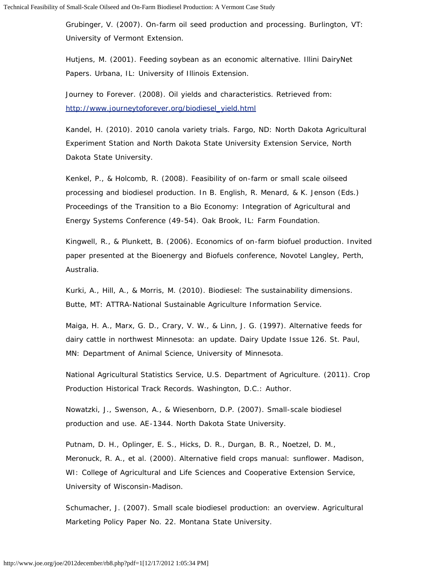Grubinger, V. (2007). *On-farm oil seed production and processing*. Burlington, VT: University of Vermont Extension.

Hutjens, M. (2001). Feeding soybean as an economic alternative. *Illini DairyNet Papers*. Urbana, IL: University of Illinois Extension.

Journey to Forever. (2008). *Oil yields and characteristics.* Retrieved from: [http://www.journeytoforever.org/biodiesel\\_yield.html](http://www.journeytoforever.org/biodiesel_yield.html)

Kandel, H. (2010). *2010 canola variety trials.* Fargo, ND: North Dakota Agricultural Experiment Station and North Dakota State University Extension Service, North Dakota State University.

Kenkel, P., & Holcomb, R. (2008). Feasibility of on-farm or small scale oilseed processing and biodiesel production. In B. English, R. Menard, & K. Jenson (Eds.) *Proceedings of the Transition to a Bio Economy: Integration of Agricultural and Energy Systems Conference* (49-54). Oak Brook, IL: Farm Foundation.

Kingwell, R., & Plunkett, B. (2006). *Economics of on-farm biofuel production*. Invited paper presented at the Bioenergy and Biofuels conference, Novotel Langley, Perth, Australia.

Kurki, A., Hill, A., & Morris, M. (2010). *Biodiesel: The sustainability dimensions*. Butte, MT: ATTRA-National Sustainable Agriculture Information Service.

Maiga, H. A., Marx, G. D., Crary, V. W., & Linn, J. G. (1997). Alternative feeds for dairy cattle in northwest Minnesota: an update. *Dairy Update Issue 126*. St. Paul, MN: Department of Animal Science, University of Minnesota.

National Agricultural Statistics Service, U.S. Department of Agriculture. (2011). *Crop Production Historical Track Records.* Washington, D.C.: Author.

Nowatzki, J., Swenson, A., & Wiesenborn, D.P. (2007). *Small-scale biodiesel production and use*. AE-1344. North Dakota State University.

Putnam, D. H., Oplinger, E. S., Hicks, D. R., Durgan, B. R., Noetzel, D. M., Meronuck, R. A., et al. (2000). *Alternative field crops manual: sunflower*. Madison, WI: College of Agricultural and Life Sciences and Cooperative Extension Service, University of Wisconsin-Madison.

Schumacher, J. (2007). *Small scale biodiesel production: an overview*. Agricultural Marketing Policy Paper No. 22. Montana State University.